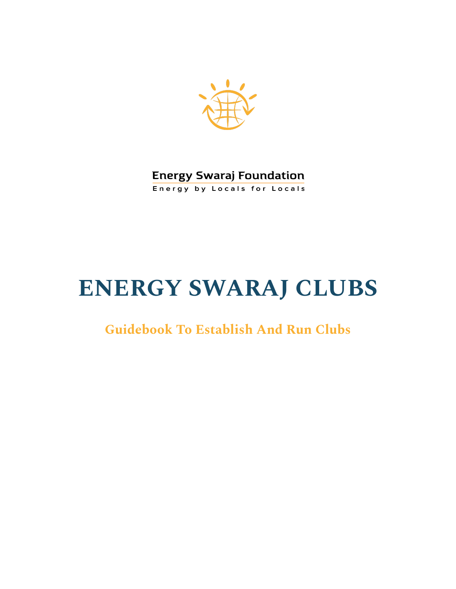

**Energy Swaraj Foundation Energy by Locals for Locals** 

# **ENERGY SWARAJ CLUBS**

# **Guidebook To Establish And Run Clubs**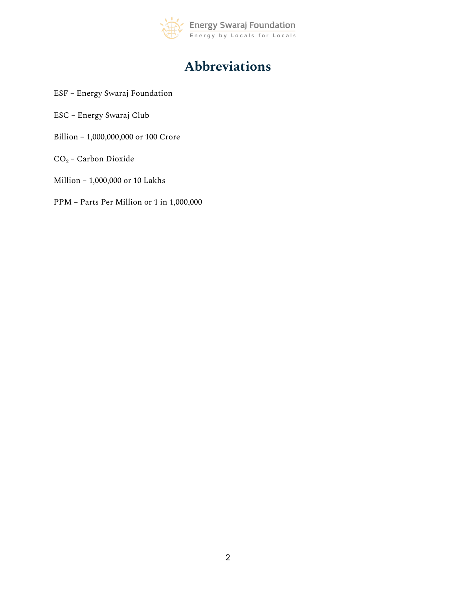

# **Abbreviations**

- ESF Energy Swaraj Foundation
- ESC Energy Swaraj Club
- Billion 1,000,000,000 or 100 Crore
- $CO<sub>2</sub>$  Carbon Dioxide
- Million 1,000,000 or 10 Lakhs
- PPM Parts Per Million or 1 in 1,000,000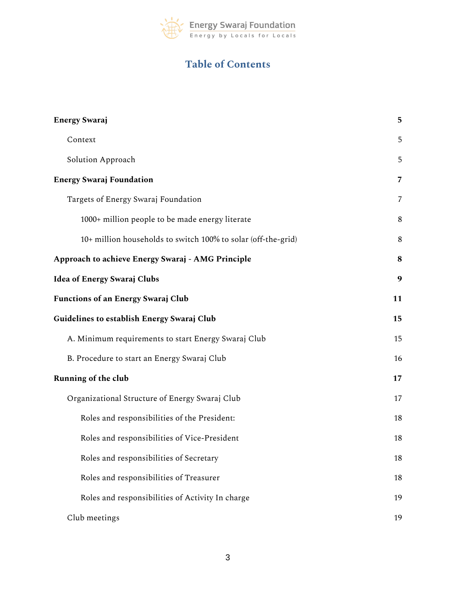

# **Table of Contents**

| <b>Energy Swaraj</b>                                          | 5              |
|---------------------------------------------------------------|----------------|
| Context                                                       | 5              |
| Solution Approach                                             | 5              |
| <b>Energy Swaraj Foundation</b>                               | $\overline{7}$ |
| Targets of Energy Swaraj Foundation                           | 7              |
| 1000+ million people to be made energy literate               | 8              |
| 10+ million households to switch 100% to solar (off-the-grid) | 8              |
| Approach to achieve Energy Swaraj - AMG Principle             | 8              |
| <b>Idea of Energy Swaraj Clubs</b>                            | 9              |
| <b>Functions of an Energy Swaraj Club</b>                     | 11             |
| Guidelines to establish Energy Swaraj Club                    | 15             |
| A. Minimum requirements to start Energy Swaraj Club           | 15             |
| B. Procedure to start an Energy Swaraj Club                   | 16             |
| <b>Running of the club</b>                                    | 17             |
| Organizational Structure of Energy Swaraj Club                | 17             |
| Roles and responsibilities of the President:                  | 18             |
| Roles and responsibilities of Vice-President                  | 18             |
| Roles and responsibilities of Secretary                       | 18             |
| Roles and responsibilities of Treasurer                       | 18             |
| Roles and responsibilities of Activity In charge              | 19             |
| Club meetings                                                 | 19             |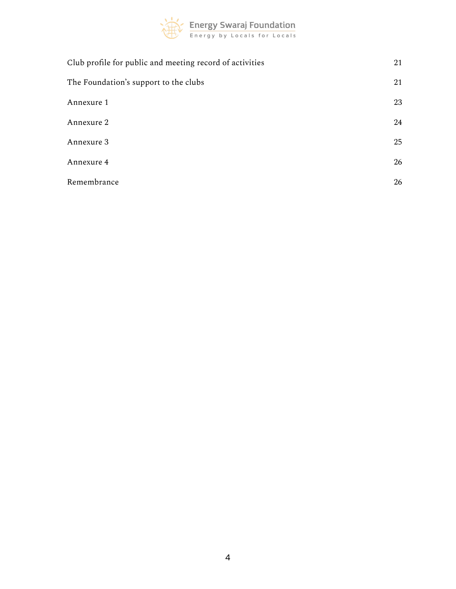

| Club profile for public and meeting record of activities | 21 |
|----------------------------------------------------------|----|
| The Foundation's support to the clubs                    | 21 |
| Annexure 1                                               | 23 |
| Annexure 2                                               | 24 |
| Annexure 3                                               | 25 |
| Annexure 4                                               | 26 |
| Remembrance                                              | 26 |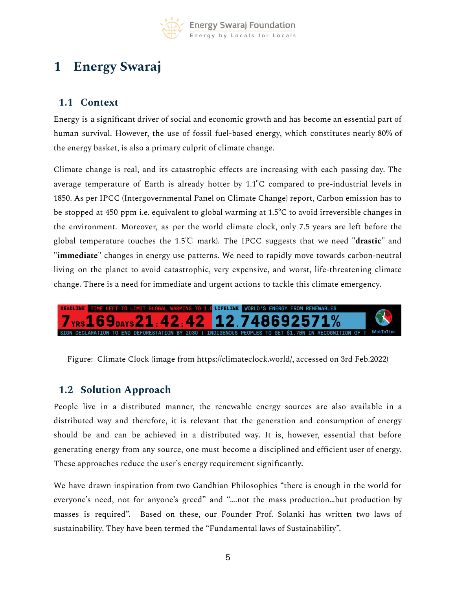

# <span id="page-4-0"></span>**1 Energy Swaraj**

### <span id="page-4-1"></span>**1.1 Context**

Energy is a significant driver of social and economic growth and has become an essential part of human survival. However, the use of fossil fuel-based energy, which constitutes nearly 80% of the energy basket, is also a primary culprit of climate change.

Climate change is real, and its catastrophic effects are increasing with each passing day. The average temperature of Earth is already hotter by  $1.1^{\circ}$ C compared to pre-industrial levels in 1850. As per IPCC (Intergovernmental Panel on Climate Change) report, Carbon emission has to be stopped at 450 ppm i.e. equivalent to global warming at 1.5°C to avoid irreversible changes in the environment. Moreover, as per the world climate clock, only 7.5 years are left before the global temperature touches the 1.5℃ mark). The IPCC suggests that we need **"drastic"** and **"immediate**" changes in energy use patterns. We need to rapidly move towards carbon-neutral living on the planet to avoid catastrophic, very expensive, and worst, life-threatening climate change. There is a need for immediate and urgent actions to tackle this climate emergency.



Figure: Climate Clock (image from https://climateclock.world/, accessed on 3rd Feb.2022)

# <span id="page-4-2"></span>**1.2 Solution Approach**

People live in a distributed manner, the renewable energy sources are also available in a distributed way and therefore, it is relevant that the generation and consumption of energy should be and can be achieved in a distributed way. It is, however, essential that before generating energy from any source, one must become a disciplined and efficient user of energy. These approaches reduce the user's energy requirement significantly.

We have drawn inspiration from two Gandhian Philosophies "there is enough in the world for everyone's need, not for anyone's greed" and "….not the mass production…but production by masses is required". Based on these, our Founder Prof. Solanki has written two laws of sustainability. They have been termed the "Fundamental laws of Sustainability".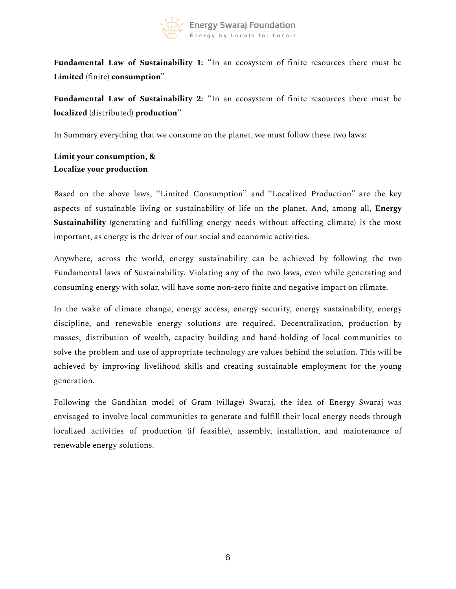

**Fundamental Law of Sustainability 1:** ''In an ecosystem of finite resources there must be **Limited** (finite) **consumption''**

**Fundamental Law of Sustainability 2:** ''In an ecosystem of finite resources there must be **localized** (distributed) **production**''

In Summary everything that we consume on the planet, we must follow these two laws:

**Limit your consumption, & Localize your production**

Based on the above laws, ''Limited Consumption'' and ''Localized Production'' are the key aspects of sustainable living or sustainability of life on the planet. And, among all, **Energy Sustainability** (generating and fulfilling energy needs without affecting climate) is the most important, as energy is the driver of our social and economic activities.

Anywhere, across the world, energy sustainability can be achieved by following the two Fundamental laws of Sustainability. Violating any of the two laws, even while generating and consuming energy with solar, will have some non-zero finite and negative impact on climate.

In the wake of climate change, energy access, energy security, energy sustainability, energy discipline, and renewable energy solutions are required. Decentralization, production by masses, distribution of wealth, capacity building and hand-holding of local communities to solve the problem and use of appropriate technology are values behind the solution. This will be achieved by improving livelihood skills and creating sustainable employment for the young generation.

Following the Gandhian model of Gram (village) Swaraj, the idea of Energy Swaraj was envisaged to involve local communities to generate and fulfill their local energy needs through localized activities of production (if feasible), assembly, installation, and maintenance of renewable energy solutions.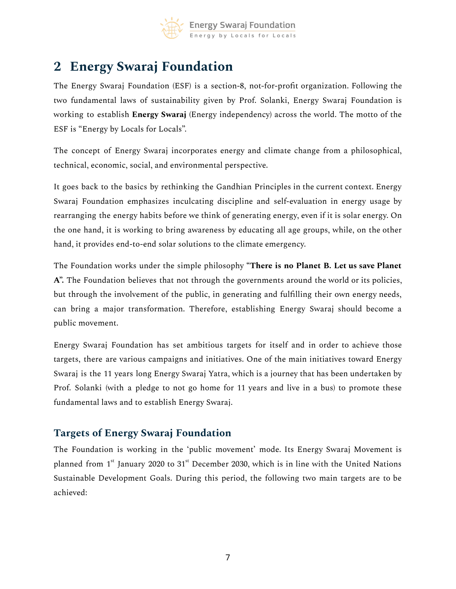

# <span id="page-6-0"></span>**2 Energy Swaraj Foundation**

The Energy Swaraj Foundation (ESF) is a section-8, not-for-profit organization. Following the two fundamental laws of sustainability given by Prof. Solanki, Energy Swaraj Foundation is working to establish **Energy Swaraj** (Energy independency) across the world. The motto of the ESF is "Energy by Locals for Locals".

The concept of Energy Swaraj incorporates energy and climate change from a philosophical, technical, economic, social, and environmental perspective.

It goes back to the basics by rethinking the Gandhian Principles in the current context. Energy Swaraj Foundation emphasizes inculcating discipline and self-evaluation in energy usage by rearranging the energy habits before we think of generating energy, even if it is solar energy. On the one hand, it is working to bring awareness by educating all age groups, while, on the other hand, it provides end-to-end solar solutions to the climate emergency.

The Foundation works under the simple philosophy **"There is no Planet B. Let us save Planet A".** The Foundation believes that not through the governments around the world or its policies, but through the involvement of the public, in generating and fulfilling their own energy needs, can bring a major transformation. Therefore, establishing Energy Swaraj should become a public movement.

Energy Swaraj Foundation has set ambitious targets for itself and in order to achieve those targets, there are various campaigns and initiatives. One of the main initiatives toward Energy Swaraj is the 11 years long Energy Swaraj Yatra, which is a journey that has been undertaken by Prof. Solanki (with a pledge to not go home for 11 years and live in a bus) to promote these fundamental laws and to establish Energy Swaraj.

### <span id="page-6-1"></span>**Targets of Energy Swaraj Foundation**

The Foundation is working in the 'public movement' mode. Its Energy Swaraj Movement is planned from 1<sup>st</sup> January 2020 to 31<sup>st</sup> December 2030, which is in line with the United Nations Sustainable Development Goals. During this period, the following two main targets are to be achieved: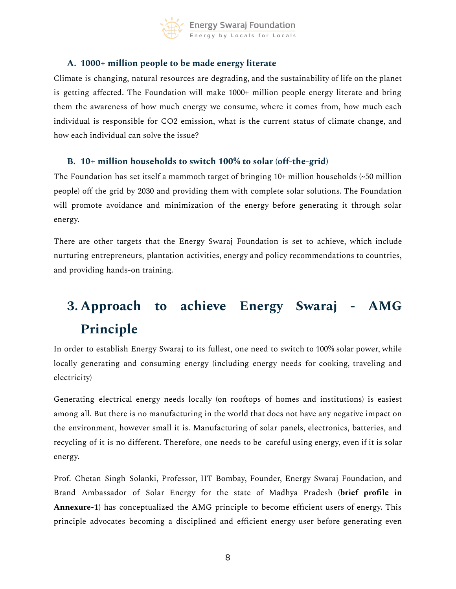

### <span id="page-7-0"></span>**A. 1000+ million people to be made energy literate**

Climate is changing, natural resources are degrading, and the sustainability of life on the planet is getting affected. The Foundation will make 1000+ million people energy literate and bring them the awareness of how much energy we consume, where it comes from, how much each individual is responsible for CO2 emission, what is the current status of climate change, and how each individual can solve the issue?

### <span id="page-7-1"></span>**B. 10+ million households to switch 100% to solar (off-the-grid)**

The Foundation has set itself a mammoth target of bringing  $10+$  million households  $\sim$  50 million people) off the grid by 2030 and providing them with complete solar solutions. The Foundation will promote avoidance and minimization of the energy before generating it through solar energy.

There are other targets that the Energy Swaraj Foundation is set to achieve, which include nurturing entrepreneurs, plantation activities, energy and policy recommendations to countries, and providing hands-on training.

# **3. Approach to achieve Energy Swaraj - AMG Principle**

<span id="page-7-2"></span>In order to establish Energy Swaraj to its fullest, one need to switch to 100% solar power, while locally generating and consuming energy (including energy needs for cooking, traveling and electricity)

Generating electrical energy needs locally (on rooftops of homes and institutions) is easiest among all. But there is no manufacturing in the world that does not have any negative impact on the environment, however small it is. Manufacturing of solar panels, electronics, batteries, and recycling of it is no different. Therefore, one needs to be careful using energy, even if it is solar energy.

Prof. Chetan Singh Solanki, Professor, IIT Bombay, Founder, Energy Swaraj Foundation, and Brand Ambassador of Solar Energy for the state of Madhya Pradesh **(brief profile in Annexure-1)** has conceptualized the AMG principle to become efficient users of energy. This principle advocates becoming a disciplined and efficient energy user before generating even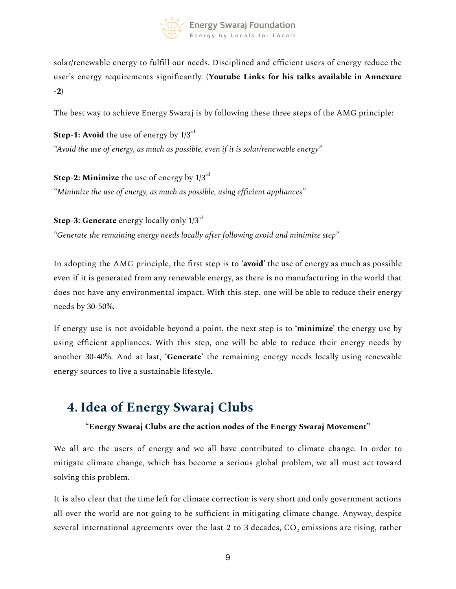

solar/renewable energy to fulfill our needs. Disciplined and efficient users of energy reduce the user's energy requirements significantly. **(Youtube Links for his talks available in Annexure -2)**

The best way to achieve Energy Swaraj is by following these three steps of the AMG principle:

**Step-1: Avoid** the use of energy by  $1/3^{\rm rd}$ *"Avoid the use of energy, as much as possible, even if it is solar/renewable energy"*

**Step-2: Minimize** the use of energy by 1/3 rd *"Minimize the use of energy, as much as possible, using efficient appliances"*

**Step-3: Generate** energy locally only 1/3 rd *"Generate the remaining energy needs locally after following avoid and minimize step"*

In adopting the AMG principle, the first step is to **'avoid'** the use of energy as much as possible even if it is generated from any renewable energy, as there is no manufacturing in the world that does not have any environmental impact. With this step, one will be able to reduce their energy needs by 30-50%.

If energy use is not avoidable beyond a point, the next step is to **'minimize'** the energy use by using efficient appliances. With this step, one will be able to reduce their energy needs by another 30-40%. And at last, **'Generate'** the remaining energy needs locally using renewable energy sources to live a sustainable lifestyle.

# <span id="page-8-0"></span>**4. Idea of Energy Swaraj Clubs**

### **"Energy Swaraj Clubs are the action nodes of the Energy Swaraj Movement"**

We all are the users of energy and we all have contributed to climate change. In order to mitigate climate change, which has become a serious global problem, we all must act toward solving this problem.

It is also clear that the time left for climate correction is very short and only government actions all over the world are not going to be sufficient in mitigating climate change. Anyway, despite several international agreements over the last 2 to 3 decades,  $CO<sub>2</sub>$  emissions are rising, rather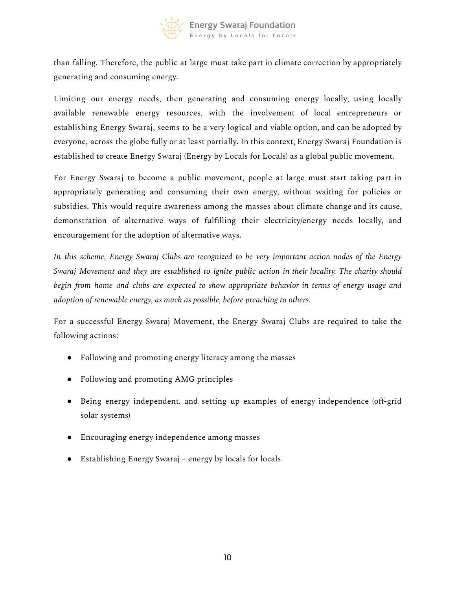

than falling. Therefore, the public at large must take part in climate correction by appropriately generating and consuming energy.

Limiting our energy needs, then generating and consuming energy locally, using locally available renewable energy resources, with the involvement of local entrepreneurs or establishing Energy Swaraj, seems to be a very logical and viable option, and can be adopted by everyone, across the globe fully or at least partially. In this context, Energy Swaraj Foundation is established to create Energy Swaraj (Energy by Locals for Locals) as a global public movement.

For Energy Swaraj to become a public movement, people at large must start taking part in appropriately generating and consuming their own energy, without waiting for policies or subsidies. This would require awareness among the masses about climate change and its cause, demonstration of alternative ways of fulfilling their electricity/energy needs locally, and encouragement for the adoption of alternative ways.

*In this scheme, Energy Swaraj Clubs are recognized to be very important action nodes of the Energy Swaraj Movement and they are established to ignite public action in their locality. The charity should begin from home and clubs are expected to show appropriate behavior in terms of energy usage and adoption of renewable energy, as much as possible, before preaching to others.*

For a successful Energy Swaraj Movement, the Energy Swaraj Clubs are required to take the following actions:

- Following and promoting energy literacy among the masses
- Following and promoting AMG principles
- Being energy independent, and setting up examples of energy independence (off-grid solar systems)
- Encouraging energy independence among masses
- Establishing Energy Swaraj energy by locals for locals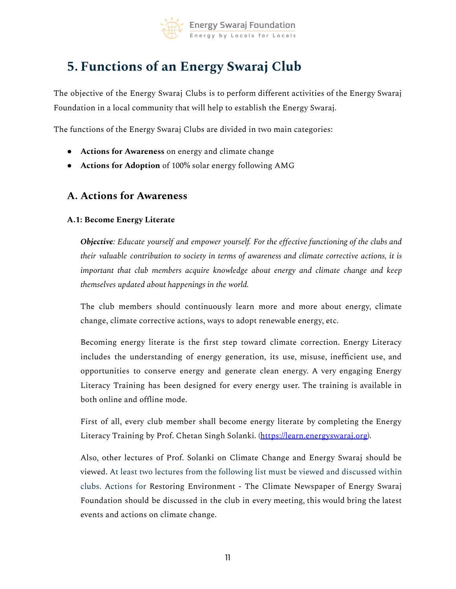

# <span id="page-10-0"></span>**5. Functions of an Energy Swaraj Club**

The objective of the Energy Swaraj Clubs is to perform different activities of the Energy Swaraj Foundation in a local community that will help to establish the Energy Swaraj.

The functions of the Energy Swaraj Clubs are divided in two main categories:

- **Actions for Awareness** on energy and climate change
- **Actions for Adoption** of 100% solar energy following AMG

### **A. Actions for Awareness**

#### **A.1: Become Energy Literate**

*Objective: Educate yourself and empower yourself. For the effective functioning of the clubs and their valuable contribution to society in terms of awareness and climate corrective actions, it is important that club members acquire knowledge about energy and climate change and keep themselves updated about happenings in the world.*

The club members should continuously learn more and more about energy, climate change, climate corrective actions, ways to adopt renewable energy, etc.

Becoming energy literate is the first step toward climate correction. Energy Literacy includes the understanding of energy generation, its use, misuse, inefficient use, and opportunities to conserve energy and generate clean energy. A very engaging Energy Literacy Training has been designed for every energy user. The training is available in both online and offline mode.

First of all, every club member shall become energy literate by completing the Energy Literacy Training by Prof. Chetan Singh Solanki. ([https://learn.energyswaraj.org\)](https://learn.energyswaraj.org).

Also, other lectures of Prof. Solanki on Climate Change and Energy Swaraj should be viewed. At least two lectures from the following list must be viewed and discussed within clubs. Actions for Restoring Environment - The Climate Newspaper of Energy Swaraj Foundation should be discussed in the club in every meeting, this would bring the latest events and actions on climate change.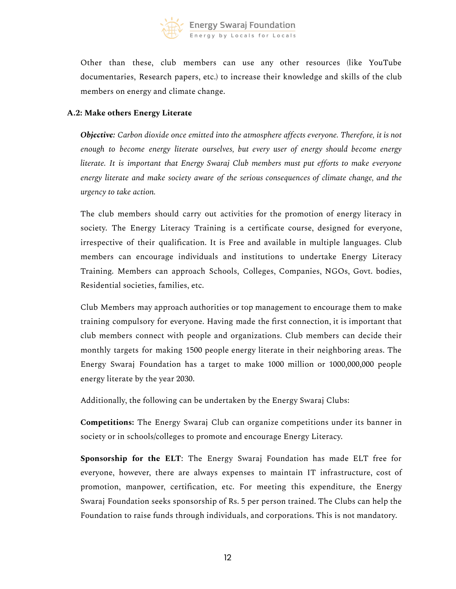

Other than these, club members can use any other resources (like YouTube documentaries, Research papers, etc.) to increase their knowledge and skills of the club members on energy and climate change.

#### **A.2: Make others Energy Literate**

*Objective: Carbon dioxide once emitted into the atmosphere affects everyone. Therefore, it is not enough to become energy literate ourselves, but every user of energy should become energy literate. It is important that Energy Swaraj Club members must put efforts to make everyone energy literate and make society aware of the serious consequences of climate change, and the urgency to take action.*

The club members should carry out activities for the promotion of energy literacy in society. The Energy Literacy Training is a certificate course, designed for everyone, irrespective of their qualification. It is Free and available in multiple languages. Club members can encourage individuals and institutions to undertake Energy Literacy Training. Members can approach Schools, Colleges, Companies, NGOs, Govt. bodies, Residential societies, families, etc.

Club Members may approach authorities or top management to encourage them to make training compulsory for everyone. Having made the first connection, it is important that club members connect with people and organizations. Club members can decide their monthly targets for making 1500 people energy literate in their neighboring areas. The Energy Swaraj Foundation has a target to make 1000 million or 1000,000,000 people energy literate by the year 2030.

Additionally, the following can be undertaken by the Energy Swaraj Clubs:

**Competitions:** The Energy Swaraj Club can organize competitions under its banner in society or in schools/colleges to promote and encourage Energy Literacy.

**Sponsorship for the ELT**: The Energy Swaraj Foundation has made ELT free for everyone, however, there are always expenses to maintain IT infrastructure, cost of promotion, manpower, certification, etc. For meeting this expenditure, the Energy Swaraj Foundation seeks sponsorship of Rs. 5 per person trained. The Clubs can help the Foundation to raise funds through individuals, and corporations. This is not mandatory.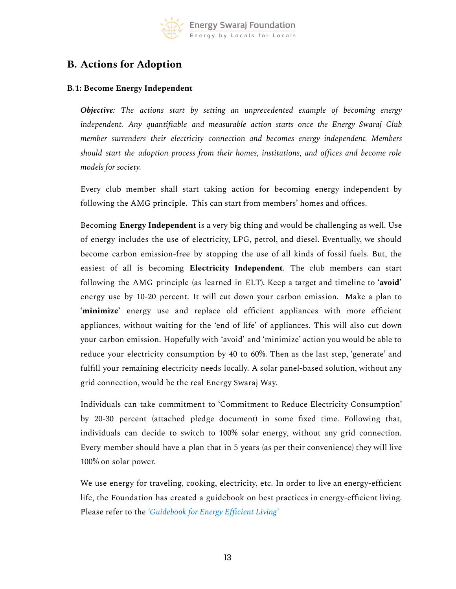

# **B. Actions for Adoption**

### **B.1: Become Energy Independent**

*Objective: The actions start by setting an unprecedented example of becoming energy independent. Any quantifiable and measurable action starts once the Energy Swaraj Club member surrenders their electricity connection and becomes energy independent. Members should start the adoption process from their homes, institutions, and offices and become role models for society.*

Every club member shall start taking action for becoming energy independent by following the AMG principle. This can start from members' homes and offices.

Becoming **Energy Independent** is a very big thing and would be challenging as well. Use of energy includes the use of electricity, LPG, petrol, and diesel. Eventually, we should become carbon emission-free by stopping the use of all kinds of fossil fuels. But, the easiest of all is becoming **Electricity Independent**. The club members can start following the AMG principle (as learned in ELT). Keep a target and timeline to **'avoid'** energy use by 10-20 percent. It will cut down your carbon emission. Make a plan to **'minimize'** energy use and replace old efficient appliances with more efficient appliances, without waiting for the 'end of life' of appliances. This will also cut down your carbon emission. Hopefully with 'avoid' and 'minimize' action you would be able to reduce your electricity consumption by 40 to 60%. Then as the last step, 'generate' and fulfill your remaining electricity needs locally. A solar panel-based solution, without any grid connection, would be the real Energy Swaraj Way.

Individuals can take commitment to 'Commitment to Reduce Electricity Consumption' by 20-30 percent (attached pledge document) in some fixed time. Following that, individuals can decide to switch to 100% solar energy, without any grid connection. Every member should have a plan that in 5 years (as per their convenience) they will live 100% on solar power.

We use energy for traveling, cooking, electricity, etc. In order to live an energy-efficient life, the Foundation has created a guidebook on best practices in energy-efficient living. Please refer to the *'Guidebook for Energy Efficient Living'*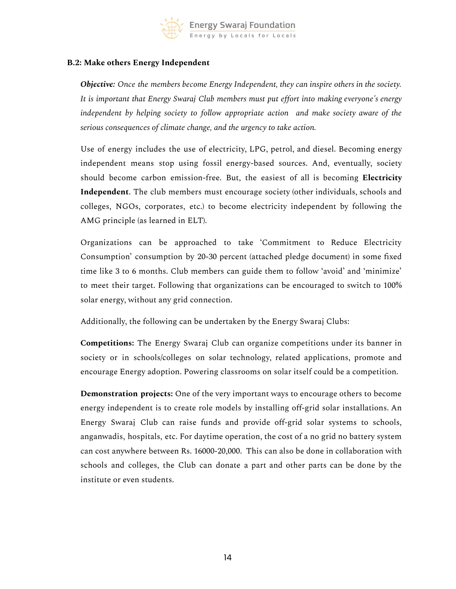

#### **B.2: Make others Energy Independent**

*Objective: Once the members become Energy Independent, they can inspire others in the society. It is important that Energy Swaraj Club members must put effort into making everyone's energy independent by helping society to follow appropriate action and make society aware of the serious consequences of climate change, and the urgency to take action.*

Use of energy includes the use of electricity, LPG, petrol, and diesel. Becoming energy independent means stop using fossil energy-based sources. And, eventually, society should become carbon emission-free. But, the easiest of all is becoming **Electricity Independent**. The club members must encourage society (other individuals, schools and colleges, NGOs, corporates, etc.) to become electricity independent by following the AMG principle (as learned in ELT).

Organizations can be approached to take 'Commitment to Reduce Electricity Consumption' consumption by 20-30 percent (attached pledge document) in some fixed time like 3 to 6 months. Club members can guide them to follow 'avoid' and 'minimize' to meet their target. Following that organizations can be encouraged to switch to 100% solar energy, without any grid connection.

Additionally, the following can be undertaken by the Energy Swaraj Clubs:

**Competitions:** The Energy Swaraj Club can organize competitions under its banner in society or in schools/colleges on solar technology, related applications, promote and encourage Energy adoption. Powering classrooms on solar itself could be a competition.

**Demonstration projects:** One of the very important ways to encourage others to become energy independent is to create role models by installing off-grid solar installations. An Energy Swaraj Club can raise funds and provide off-grid solar systems to schools, anganwadis, hospitals, etc. For daytime operation, the cost of a no grid no battery system can cost anywhere between Rs. 16000-20,000. This can also be done in collaboration with schools and colleges, the Club can donate a part and other parts can be done by the institute or even students.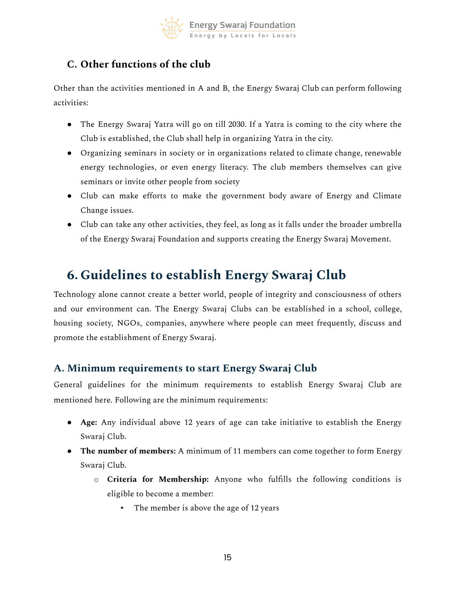

# **C. Other functions of the club**

Other than the activities mentioned in A and B, the Energy Swaraj Club can perform following activities:

- The Energy Swaraj Yatra will go on till 2030. If a Yatra is coming to the city where the Club is established, the Club shall help in organizing Yatra in the city.
- Organizing seminars in society or in organizations related to climate change, renewable energy technologies, or even energy literacy. The club members themselves can give seminars or invite other people from society
- Club can make efforts to make the government body aware of Energy and Climate Change issues.
- Club can take any other activities, they feel, as long as it falls under the broader umbrella of the Energy Swaraj Foundation and supports creating the Energy Swaraj Movement.

# <span id="page-14-0"></span>**6. Guidelines to establish Energy Swaraj Club**

Technology alone cannot create a better world, people of integrity and consciousness of others and our environment can. The Energy Swaraj Clubs can be established in a school, college, housing society, NGOs, companies, anywhere where people can meet frequently, discuss and promote the establishment of Energy Swaraj.

### <span id="page-14-1"></span>**A. Minimum requirements to start Energy Swaraj Club**

General guidelines for the minimum requirements to establish Energy Swaraj Club are mentioned here. Following are the minimum requirements:

- **Age:** Any individual above 12 years of age can take initiative to establish the Energy Swaraj Club.
- **The number of members:** A minimum of 11 members can come together to form Energy Swaraj Club.
	- o **Criteria for Membership:** Anyone who fulfills the following conditions is eligible to become a member:
		- The member is above the age of 12 years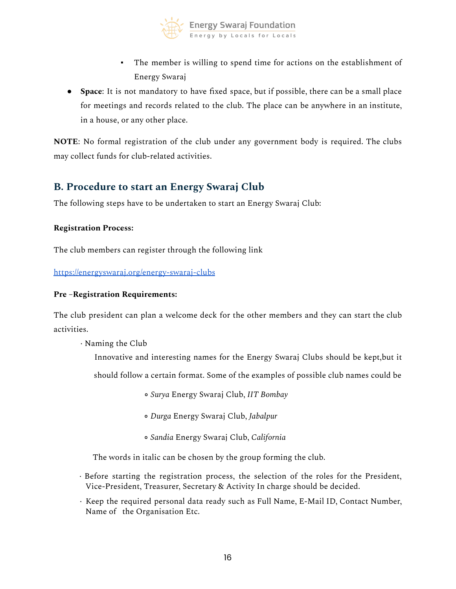

- The member is willing to spend time for actions on the establishment of Energy Swaraj
- **Space**: It is not mandatory to have fixed space, but if possible, there can be a small place for meetings and records related to the club. The place can be anywhere in an institute, in a house, or any other place.

**NOTE**: No formal registration of the club under any government body is required. The clubs may collect funds for club-related activities.

### <span id="page-15-0"></span>**B. Procedure to start an Energy Swaraj Club**

The following steps have to be undertaken to start an Energy Swaraj Club:

#### **Registration Process:**

The club members can register through the following link

<https://energyswaraj.org/energy-swaraj-clubs>

#### **Pre –Registration Requirements:**

The club president can plan a welcome deck for the other members and they can start the club activities.

· Naming the Club

Innovative and interesting names for the Energy Swaraj Clubs should be kept,but it

should follow a certain format. Some of the examples of possible club names could be

- *Surya* Energy Swaraj Club, *IIT Bombay*
- *Durga* Energy Swaraj Club, *Jabalpur*
- *Sandia* Energy Swaraj Club, *California*

The words in italic can be chosen by the group forming the club.

- · Before starting the registration process, the selection of the roles for the President, Vice-President, Treasurer, Secretary & Activity In charge should be decided.
- · Keep the required personal data ready such as Full Name, E-Mail ID, Contact Number, Name of the Organisation Etc.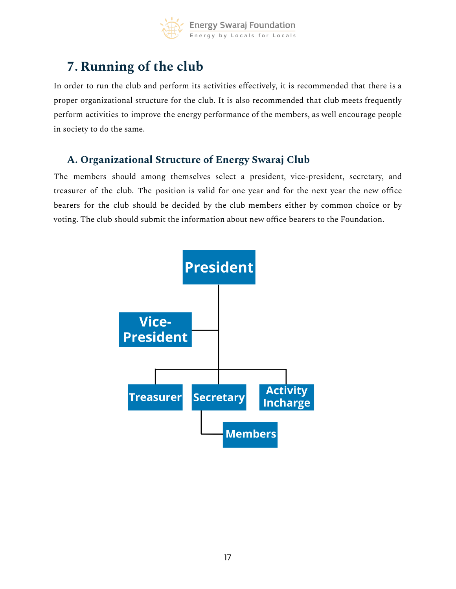

# <span id="page-16-0"></span>**7. Running of the club**

In order to run the club and perform its activities effectively, it is recommended that there is a proper organizational structure for the club. It is also recommended that club meets frequently perform activities to improve the energy performance of the members, as well encourage people in society to do the same.

# <span id="page-16-1"></span>**A. Organizational Structure of Energy Swaraj Club**

The members should among themselves select a president, vice-president, secretary, and treasurer of the club. The position is valid for one year and for the next year the new office bearers for the club should be decided by the club members either by common choice or by voting. The club should submit the information about new office bearers to the Foundation.

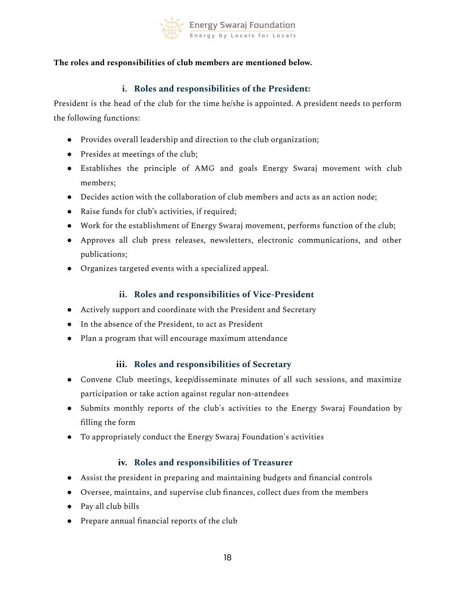

### <span id="page-17-0"></span>**The roles and responsibilities of club members are mentioned below.**

### **i. Roles and responsibilities of the President:**

President is the head of the club for the time he/she is appointed. A president needs to perform the following functions:

- Provides overall leadership and direction to the club organization;
- Presides at meetings of the club;
- Establishes the principle of AMG and goals Energy Swaraj movement with club members;
- Decides action with the collaboration of club members and acts as an action node;
- Raise funds for club's activities, if required;
- Work for the establishment of Energy Swaraj movement, performs function of the club;
- Approves all club press releases, newsletters, electronic communications, and other publications;
- Organizes targeted events with a specialized appeal.

### **ii. Roles and responsibilities of Vice-President**

- <span id="page-17-1"></span>● Actively support and coordinate with the President and Secretary
- In the absence of the President, to act as President
- <span id="page-17-2"></span>● Plan a program that will encourage maximum attendance

### **iii. Roles and responsibilities of Secretary**

- Convene Club meetings, keep/disseminate minutes of all such sessions, and maximize participation or take action against regular non-attendees
- Submits monthly reports of the club's activities to the Energy Swaraj Foundation by filling the form
- <span id="page-17-3"></span>● To appropriately conduct the Energy Swaraj Foundation's activities

### **iv. Roles and responsibilities of Treasurer**

- Assist the president in preparing and maintaining budgets and financial controls
- Oversee, maintains, and supervise club finances, collect dues from the members
- Pay all club bills
- Prepare annual financial reports of the club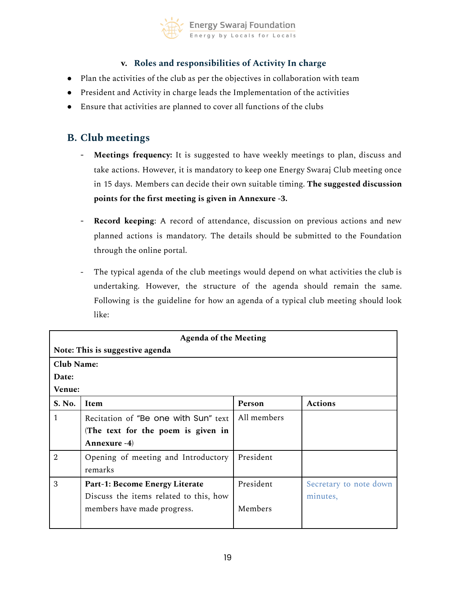

### **v. Roles and responsibilities of Activity In charge**

- <span id="page-18-0"></span>● Plan the activities of the club as per the objectives in collaboration with team
- President and Activity in charge leads the Implementation of the activities
- <span id="page-18-1"></span>● Ensure that activities are planned to cover all functions of the clubs

## **B. Club meetings**

- **Meetings frequency:** It is suggested to have weekly meetings to plan, discuss and take actions. However, it is mandatory to keep one Energy Swaraj Club meeting once in 15 days. Members can decide their own suitable timing. **The suggested discussion points for the first meeting is given in Annexure -3.**
- **Record keeping**: A record of attendance, discussion on previous actions and new planned actions is mandatory. The details should be submitted to the Foundation through the online portal.
- The typical agenda of the club meetings would depend on what activities the club is undertaking. However, the structure of the agenda should remain the same. Following is the guideline for how an agenda of a typical club meeting should look like:

| <b>Agenda of the Meeting</b>    |                                        |             |                        |  |
|---------------------------------|----------------------------------------|-------------|------------------------|--|
| Note: This is suggestive agenda |                                        |             |                        |  |
| <b>Club Name:</b>               |                                        |             |                        |  |
| Date:                           |                                        |             |                        |  |
| Venue:                          |                                        |             |                        |  |
| S. No.                          | <b>Item</b>                            | Person      | <b>Actions</b>         |  |
| 1                               | Recitation of "Be one with Sun" text   | All members |                        |  |
|                                 | (The text for the poem is given in     |             |                        |  |
|                                 | Annexure -4)                           |             |                        |  |
| $\overline{2}$                  | Opening of meeting and Introductory    | President   |                        |  |
|                                 | remarks                                |             |                        |  |
| 3                               | Part-1: Become Energy Literate         | President   | Secretary to note down |  |
|                                 | Discuss the items related to this, how |             | minutes,               |  |
|                                 | members have made progress.            | Members     |                        |  |
|                                 |                                        |             |                        |  |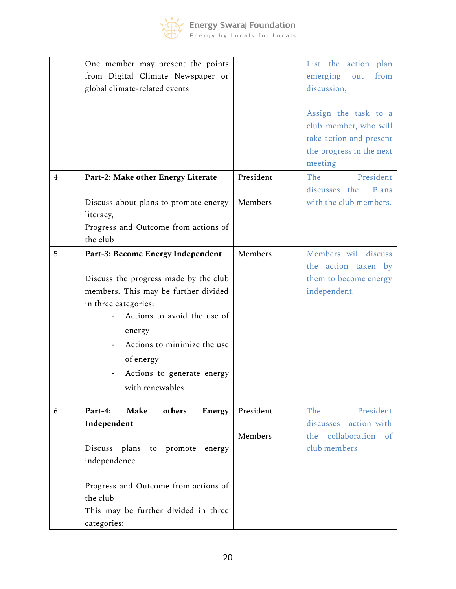

|                | One member may present the points     |           | List the action plan                        |
|----------------|---------------------------------------|-----------|---------------------------------------------|
|                | from Digital Climate Newspaper or     |           | emerging<br>from<br>out                     |
|                | global climate-related events         |           | discussion,                                 |
|                |                                       |           | Assign the task to a                        |
|                |                                       |           | club member, who will                       |
|                |                                       |           | take action and present                     |
|                |                                       |           | the progress in the next                    |
| $\overline{4}$ | Part-2: Make other Energy Literate    | President | meeting<br>President<br>The                 |
|                |                                       |           | discusses the Plans                         |
|                | Discuss about plans to promote energy | Members   | with the club members.                      |
|                | literacy,                             |           |                                             |
|                | Progress and Outcome from actions of  |           |                                             |
|                | the club                              |           |                                             |
| 5              | Part-3: Become Energy Independent     | Members   | Members will discuss<br>the action taken by |
|                | Discuss the progress made by the club |           | them to become energy                       |
|                | members. This may be further divided  |           | independent.                                |
|                | in three categories:                  |           |                                             |
|                | Actions to avoid the use of           |           |                                             |
|                | energy                                |           |                                             |
|                | Actions to minimize the use           |           |                                             |
|                | of energy                             |           |                                             |
|                | Actions to generate energy            |           |                                             |
|                | with renewables                       |           |                                             |
| 6              | Part-4:<br>Make<br>others<br>Energy   | President | President<br>The                            |
|                | Independent                           |           | discusses action with                       |
|                |                                       | Members   | collaboration<br>of<br>the                  |
|                | Discuss plans to<br>promote<br>energy |           | club members                                |
|                | independence                          |           |                                             |
|                | Progress and Outcome from actions of  |           |                                             |
|                | the club                              |           |                                             |
|                | This may be further divided in three  |           |                                             |
|                | categories:                           |           |                                             |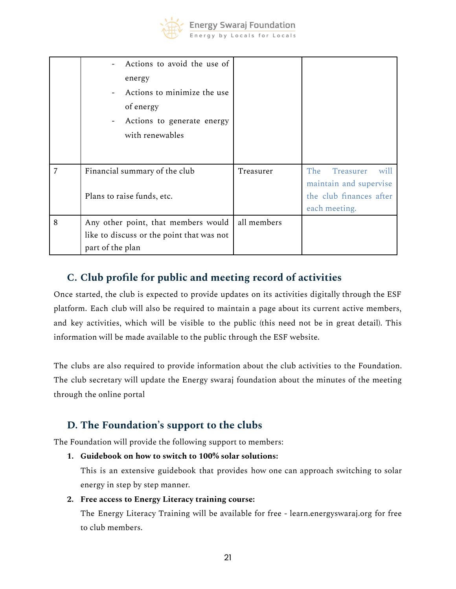

|   | Actions to avoid the use of<br>energy<br>Actions to minimize the use<br>of energy<br>Actions to generate energy<br>with renewables |             |                                                                                                |
|---|------------------------------------------------------------------------------------------------------------------------------------|-------------|------------------------------------------------------------------------------------------------|
| 7 | Financial summary of the club<br>Plans to raise funds, etc.                                                                        | Treasurer   | The<br>Treasurer<br>will<br>maintain and supervise<br>the club finances after<br>each meeting. |
| 8 | Any other point, that members would<br>like to discuss or the point that was not<br>part of the plan                               | all members |                                                                                                |

# <span id="page-20-0"></span>**C. Club profile for public and meeting record of activities**

Once started, the club is expected to provide updates on its activities digitally through the ESF platform. Each club will also be required to maintain a page about its current active members, and key activities, which will be visible to the public (this need not be in great detail). This information will be made available to the public through the ESF website.

The clubs are also required to provide information about the club activities to the Foundation. The club secretary will update the Energy swaraj foundation about the minutes of the meeting through the online portal

# <span id="page-20-1"></span>**D. The Foundation's support to the clubs**

The Foundation will provide the following support to members:

**1. Guidebook on how to switch to 100% solar solutions:**

This is an extensive guidebook that provides how one can approach switching to solar energy in step by step manner.

### **2. Free access to Energy Literacy training course:**

The Energy Literacy Training will be available for free - learn.energyswaraj.org for free to club members.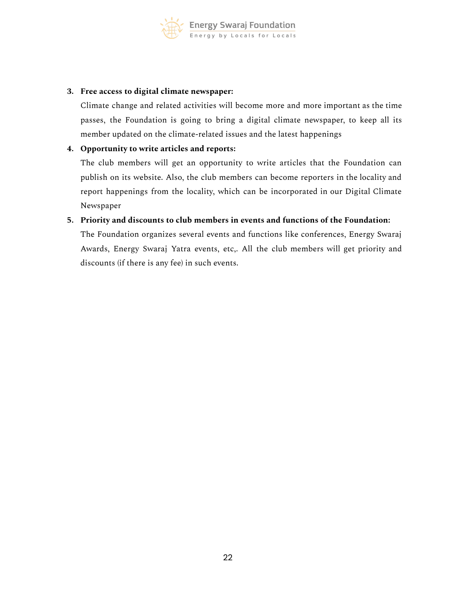

#### **3. Free access to digital climate newspaper:**

Climate change and related activities will become more and more important as the time passes, the Foundation is going to bring a digital climate newspaper, to keep all its member updated on the climate-related issues and the latest happenings

#### **4. Opportunity to write articles and reports:**

The club members will get an opportunity to write articles that the Foundation can publish on its website. Also, the club members can become reporters in the locality and report happenings from the locality, which can be incorporated in our Digital Climate Newspaper

#### **5. Priority and discounts to club members in events and functions of the Foundation:**

The Foundation organizes several events and functions like conferences, Energy Swaraj Awards, Energy Swaraj Yatra events, etc,. All the club members will get priority and discounts (if there is any fee) in such events.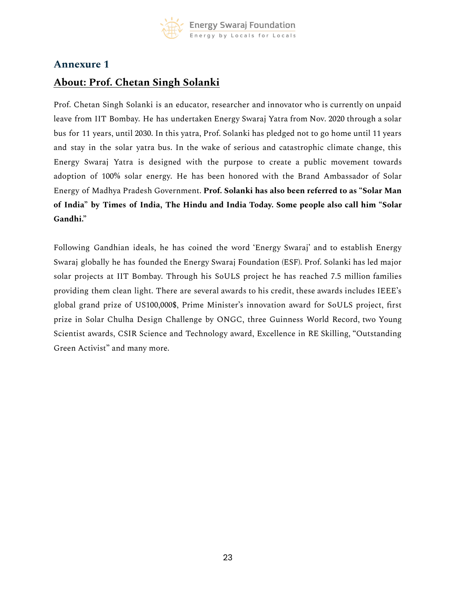

# <span id="page-22-0"></span>**About: Prof. Chetan Singh Solanki**

Prof. Chetan Singh Solanki is an educator, researcher and innovator who is currently on unpaid leave from IIT Bombay. He has undertaken Energy Swaraj Yatra from Nov. 2020 through a solar bus for 11 years, until 2030. In this yatra, Prof. Solanki has pledged not to go home until 11 years and stay in the solar yatra bus. In the wake of serious and catastrophic climate change, this Energy Swaraj Yatra is designed with the purpose to create a public movement towards adoption of 100% solar energy. He has been honored with the Brand Ambassador of Solar Energy of Madhya Pradesh Government. **Prof. Solanki has also been referred to as "Solar Man of India" by Times of India, The Hindu and India Today. Some people also call him "Solar Gandhi."**

Following Gandhian ideals, he has coined the word 'Energy Swaraj' and to establish Energy Swaraj globally he has founded the Energy Swaraj Foundation (ESF). Prof. Solanki has led major solar projects at IIT Bombay. Through his SoULS project he has reached 7.5 million families providing them clean light. There are several awards to his credit, these awards includes IEEE's global grand prize of US100,000\$, Prime Minister's innovation award for SoULS project, first prize in Solar Chulha Design Challenge by ONGC, three Guinness World Record, two Young Scientist awards, CSIR Science and Technology award, Excellence in RE Skilling, "Outstanding Green Activist" and many more.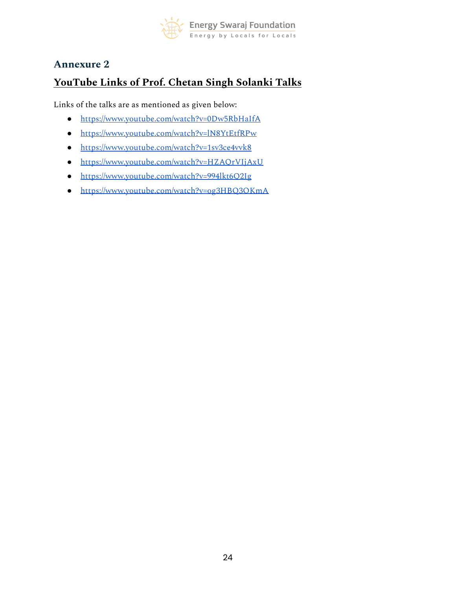

# <span id="page-23-0"></span>**YouTube Links of Prof. Chetan Singh Solanki Talks**

Links of the talks are as mentioned as given below:

- <https://www.youtube.com/watch?v=0Dw5RbHaIfA>
- <https://www.youtube.com/watch?v=lN8YtEtfRPw>
- <https://www.youtube.com/watch?v=1sv3ce4vvk8>
- <https://www.youtube.com/watch?v=HZAQrVIjAxU>
- <https://www.youtube.com/watch?v=994lkt6Q2Ig>
- <https://www.youtube.com/watch?v=og3HBQ3OKmA>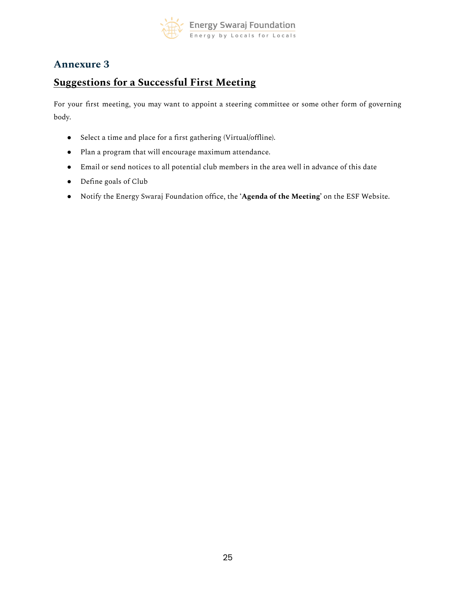

# <span id="page-24-0"></span>**Suggestions for a Successful First Meeting**

For your first meeting, you may want to appoint a steering committee or some other form of governing body.

- Select a time and place for a first gathering (Virtual/offline).
- Plan a program that will encourage maximum attendance.
- Email or send notices to all potential club members in the area well in advance of this date
- Define goals of Club
- Notify the Energy Swaraj Foundation office, the '**Agenda of the Meeting'** on the ESF Website.